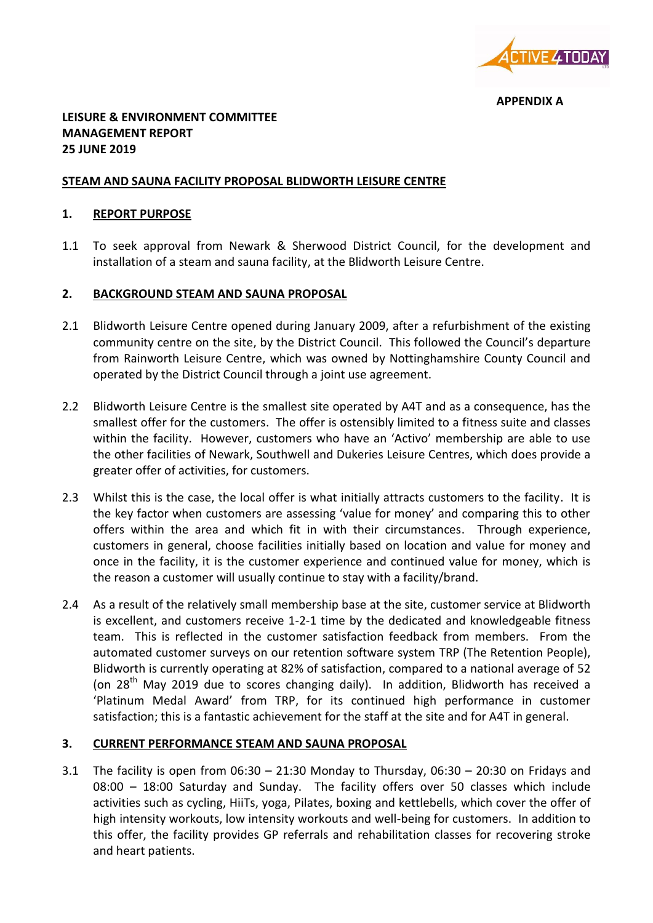

**APPENDIX A**

## **LEISURE & ENVIRONMENT COMMITTEE MANAGEMENT REPORT 25 JUNE 2019**

### **STEAM AND SAUNA FACILITY PROPOSAL BLIDWORTH LEISURE CENTRE**

#### **1. REPORT PURPOSE**

1.1 To seek approval from Newark & Sherwood District Council, for the development and installation of a steam and sauna facility, at the Blidworth Leisure Centre.

### **2. BACKGROUND STEAM AND SAUNA PROPOSAL**

- 2.1 Blidworth Leisure Centre opened during January 2009, after a refurbishment of the existing community centre on the site, by the District Council. This followed the Council's departure from Rainworth Leisure Centre, which was owned by Nottinghamshire County Council and operated by the District Council through a joint use agreement.
- 2.2 Blidworth Leisure Centre is the smallest site operated by A4T and as a consequence, has the smallest offer for the customers. The offer is ostensibly limited to a fitness suite and classes within the facility. However, customers who have an 'Activo' membership are able to use the other facilities of Newark, Southwell and Dukeries Leisure Centres, which does provide a greater offer of activities, for customers.
- 2.3 Whilst this is the case, the local offer is what initially attracts customers to the facility. It is the key factor when customers are assessing 'value for money' and comparing this to other offers within the area and which fit in with their circumstances. Through experience, customers in general, choose facilities initially based on location and value for money and once in the facility, it is the customer experience and continued value for money, which is the reason a customer will usually continue to stay with a facility/brand.
- 2.4 As a result of the relatively small membership base at the site, customer service at Blidworth is excellent, and customers receive 1-2-1 time by the dedicated and knowledgeable fitness team. This is reflected in the customer satisfaction feedback from members. From the automated customer surveys on our retention software system TRP (The Retention People), Blidworth is currently operating at 82% of satisfaction, compared to a national average of 52 (on 28<sup>th</sup> May 2019 due to scores changing daily). In addition, Blidworth has received a 'Platinum Medal Award' from TRP, for its continued high performance in customer satisfaction; this is a fantastic achievement for the staff at the site and for A4T in general.

### **3. CURRENT PERFORMANCE STEAM AND SAUNA PROPOSAL**

3.1 The facility is open from 06:30 – 21:30 Monday to Thursday, 06:30 – 20:30 on Fridays and 08:00 – 18:00 Saturday and Sunday. The facility offers over 50 classes which include activities such as cycling, HiiTs, yoga, Pilates, boxing and kettlebells, which cover the offer of high intensity workouts, low intensity workouts and well-being for customers. In addition to this offer, the facility provides GP referrals and rehabilitation classes for recovering stroke and heart patients.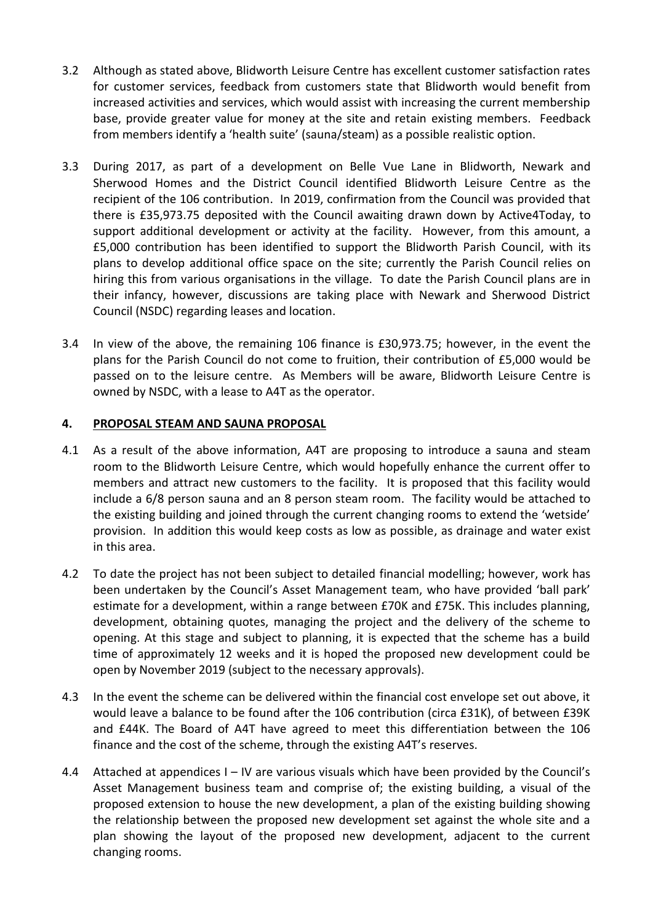- 3.2 Although as stated above, Blidworth Leisure Centre has excellent customer satisfaction rates for customer services, feedback from customers state that Blidworth would benefit from increased activities and services, which would assist with increasing the current membership base, provide greater value for money at the site and retain existing members. Feedback from members identify a 'health suite' (sauna/steam) as a possible realistic option.
- 3.3 During 2017, as part of a development on Belle Vue Lane in Blidworth, Newark and Sherwood Homes and the District Council identified Blidworth Leisure Centre as the recipient of the 106 contribution. In 2019, confirmation from the Council was provided that there is £35,973.75 deposited with the Council awaiting drawn down by Active4Today, to support additional development or activity at the facility. However, from this amount, a £5,000 contribution has been identified to support the Blidworth Parish Council, with its plans to develop additional office space on the site; currently the Parish Council relies on hiring this from various organisations in the village. To date the Parish Council plans are in their infancy, however, discussions are taking place with Newark and Sherwood District Council (NSDC) regarding leases and location.
- 3.4 In view of the above, the remaining 106 finance is £30,973.75; however, in the event the plans for the Parish Council do not come to fruition, their contribution of £5,000 would be passed on to the leisure centre. As Members will be aware, Blidworth Leisure Centre is owned by NSDC, with a lease to A4T as the operator.

### **4. PROPOSAL STEAM AND SAUNA PROPOSAL**

- 4.1 As a result of the above information, A4T are proposing to introduce a sauna and steam room to the Blidworth Leisure Centre, which would hopefully enhance the current offer to members and attract new customers to the facility. It is proposed that this facility would include a 6/8 person sauna and an 8 person steam room. The facility would be attached to the existing building and joined through the current changing rooms to extend the 'wetside' provision. In addition this would keep costs as low as possible, as drainage and water exist in this area.
- 4.2 To date the project has not been subject to detailed financial modelling; however, work has been undertaken by the Council's Asset Management team, who have provided 'ball park' estimate for a development, within a range between £70K and £75K. This includes planning, development, obtaining quotes, managing the project and the delivery of the scheme to opening. At this stage and subject to planning, it is expected that the scheme has a build time of approximately 12 weeks and it is hoped the proposed new development could be open by November 2019 (subject to the necessary approvals).
- 4.3 In the event the scheme can be delivered within the financial cost envelope set out above, it would leave a balance to be found after the 106 contribution (circa £31K), of between £39K and £44K. The Board of A4T have agreed to meet this differentiation between the 106 finance and the cost of the scheme, through the existing A4T's reserves.
- 4.4 Attached at appendices I IV are various visuals which have been provided by the Council's Asset Management business team and comprise of; the existing building, a visual of the proposed extension to house the new development, a plan of the existing building showing the relationship between the proposed new development set against the whole site and a plan showing the layout of the proposed new development, adjacent to the current changing rooms.